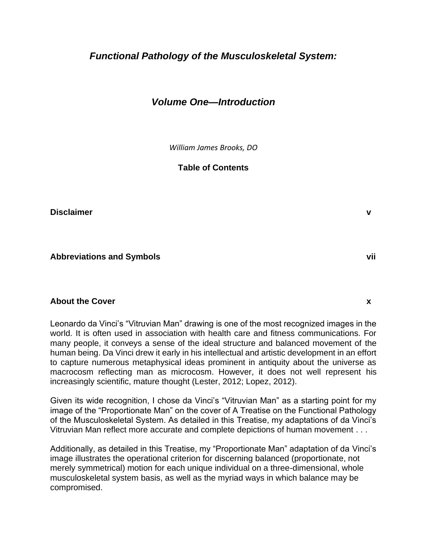# *Functional Pathology of the Musculoskeletal System:*

# *Volume One—Introduction*

*William James Brooks, DO*

**Table of Contents**

**Disclaimer v**

**Abbreviations and Symbols vii**

#### **About the Cover x**

Leonardo da Vinci's "Vitruvian Man" drawing is one of the most recognized images in the world. It is often used in association with health care and fitness communications. For many people, it conveys a sense of the ideal structure and balanced movement of the human being. Da Vinci drew it early in his intellectual and artistic development in an effort to capture numerous metaphysical ideas prominent in antiquity about the universe as macrocosm reflecting man as microcosm. However, it does not well represent his increasingly scientific, mature thought (Lester, 2012; Lopez, 2012).

Given its wide recognition, I chose da Vinci's "Vitruvian Man" as a starting point for my image of the "Proportionate Man" on the cover of A Treatise on the Functional Pathology of the Musculoskeletal System. As detailed in this Treatise, my adaptations of da Vinci's Vitruvian Man reflect more accurate and complete depictions of human movement . . .

Additionally, as detailed in this Treatise, my "Proportionate Man" adaptation of da Vinci's image illustrates the operational criterion for discerning balanced (proportionate, not merely symmetrical) motion for each unique individual on a three-dimensional, whole musculoskeletal system basis, as well as the myriad ways in which balance may be compromised.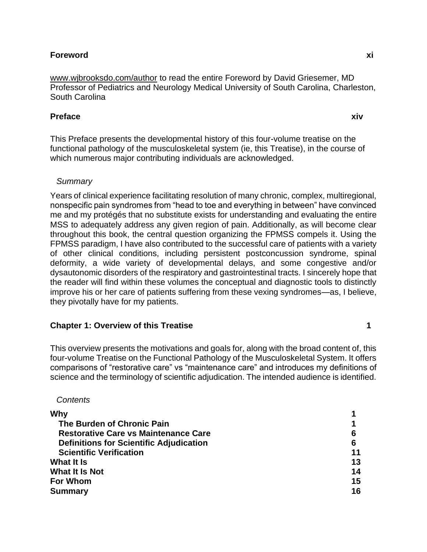### **Foreword xi**

[www.wjbrooksdo.com/author](http://www.wjbrooksdo.com/author) to read the entire Foreword by David Griesemer, MD Professor of Pediatrics and Neurology Medical University of South Carolina, Charleston, South Carolina

### **Preface xiv**

This Preface presents the developmental history of this four-volume treatise on the functional pathology of the musculoskeletal system (ie, this Treatise), in the course of which numerous major contributing individuals are acknowledged.

### *Summary*

Years of clinical experience facilitating resolution of many chronic, complex, multiregional, nonspecific pain syndromes from "head to toe and everything in between" have convinced me and my protégés that no substitute exists for understanding and evaluating the entire MSS to adequately address any given region of pain. Additionally, as will become clear throughout this book, the central question organizing the FPMSS compels it. Using the FPMSS paradigm, I have also contributed to the successful care of patients with a variety of other clinical conditions, including persistent postconcussion syndrome, spinal deformity, a wide variety of developmental delays, and some congestive and/or dysautonomic disorders of the respiratory and gastrointestinal tracts. I sincerely hope that the reader will find within these volumes the conceptual and diagnostic tools to distinctly improve his or her care of patients suffering from these vexing syndromes—as, I believe, they pivotally have for my patients.

#### **Chapter 1: Overview of this Treatise 1**

This overview presents the motivations and goals for, along with the broad content of, this four-volume Treatise on the Functional Pathology of the Musculoskeletal System. It offers comparisons of "restorative care" vs "maintenance care" and introduces my definitions of science and the terminology of scientific adjudication. The intended audience is identified.

#### *Contents*

| Why                                            |    |
|------------------------------------------------|----|
| The Burden of Chronic Pain                     |    |
| <b>Restorative Care vs Maintenance Care</b>    | 6  |
| <b>Definitions for Scientific Adjudication</b> | 6  |
| <b>Scientific Verification</b>                 | 11 |
| What It Is                                     | 13 |
| What It Is Not                                 | 14 |
| <b>For Whom</b>                                | 15 |
| <b>Summary</b>                                 | 16 |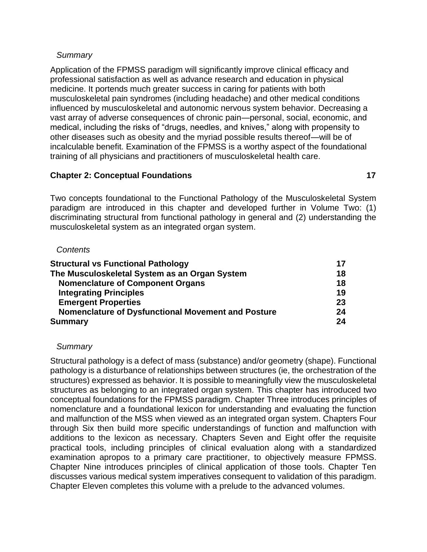# *Summary*

Application of the FPMSS paradigm will significantly improve clinical efficacy and professional satisfaction as well as advance research and education in physical medicine. It portends much greater success in caring for patients with both musculoskeletal pain syndromes (including headache) and other medical conditions influenced by musculoskeletal and autonomic nervous system behavior. Decreasing a vast array of adverse consequences of chronic pain—personal, social, economic, and medical, including the risks of "drugs, needles, and knives," along with propensity to other diseases such as obesity and the myriad possible results thereof—will be of incalculable benefit. Examination of the FPMSS is a worthy aspect of the foundational training of all physicians and practitioners of musculoskeletal health care.

# **Chapter 2: Conceptual Foundations 17**

Two concepts foundational to the Functional Pathology of the Musculoskeletal System paradigm are introduced in this chapter and developed further in Volume Two: (1) discriminating structural from functional pathology in general and (2) understanding the musculoskeletal system as an integrated organ system.

### *Contents*

| <b>Structural vs Functional Pathology</b>          | 17 |
|----------------------------------------------------|----|
| The Musculoskeletal System as an Organ System      | 18 |
| <b>Nomenclature of Component Organs</b>            | 18 |
| <b>Integrating Principles</b>                      | 19 |
| <b>Emergent Properties</b>                         | 23 |
| Nomenclature of Dysfunctional Movement and Posture | 24 |
| Summary                                            | 24 |

# *Summary*

Structural pathology is a defect of mass (substance) and/or geometry (shape). Functional pathology is a disturbance of relationships between structures (ie, the orchestration of the structures) expressed as behavior. It is possible to meaningfully view the musculoskeletal structures as belonging to an integrated organ system. This chapter has introduced two conceptual foundations for the FPMSS paradigm. Chapter Three introduces principles of nomenclature and a foundational lexicon for understanding and evaluating the function and malfunction of the MSS when viewed as an integrated organ system. Chapters Four through Six then build more specific understandings of function and malfunction with additions to the lexicon as necessary. Chapters Seven and Eight offer the requisite practical tools, including principles of clinical evaluation along with a standardized examination apropos to a primary care practitioner, to objectively measure FPMSS. Chapter Nine introduces principles of clinical application of those tools. Chapter Ten discusses various medical system imperatives consequent to validation of this paradigm. Chapter Eleven completes this volume with a prelude to the advanced volumes.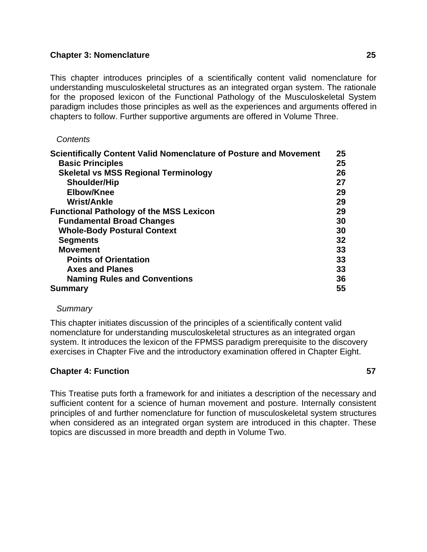### **Chapter 3: Nomenclature 25**

This chapter introduces principles of a scientifically content valid nomenclature for understanding musculoskeletal structures as an integrated organ system. The rationale for the proposed lexicon of the Functional Pathology of the Musculoskeletal System paradigm includes those principles as well as the experiences and arguments offered in chapters to follow. Further supportive arguments are offered in Volume Three.

### *Contents*

| Scientifically Content Valid Nomenclature of Posture and Movement | 25 |
|-------------------------------------------------------------------|----|
| <b>Basic Principles</b>                                           | 25 |
| <b>Skeletal vs MSS Regional Terminology</b>                       | 26 |
| <b>Shoulder/Hip</b>                                               | 27 |
| Elbow/Knee                                                        | 29 |
| <b>Wrist/Ankle</b>                                                | 29 |
| <b>Functional Pathology of the MSS Lexicon</b>                    | 29 |
| <b>Fundamental Broad Changes</b>                                  | 30 |
| <b>Whole-Body Postural Context</b>                                | 30 |
| <b>Segments</b>                                                   | 32 |
| <b>Movement</b>                                                   | 33 |
| <b>Points of Orientation</b>                                      | 33 |
| <b>Axes and Planes</b>                                            | 33 |
| <b>Naming Rules and Conventions</b>                               | 36 |
| <b>Summary</b>                                                    | 55 |

#### *Summary*

This chapter initiates discussion of the principles of a scientifically content valid nomenclature for understanding musculoskeletal structures as an integrated organ system. It introduces the lexicon of the FPMSS paradigm prerequisite to the discovery exercises in Chapter Five and the introductory examination offered in Chapter Eight.

# **Chapter 4: Function 57**

This Treatise puts forth a framework for and initiates a description of the necessary and sufficient content for a science of human movement and posture. Internally consistent principles of and further nomenclature for function of musculoskeletal system structures when considered as an integrated organ system are introduced in this chapter. These topics are discussed in more breadth and depth in Volume Two.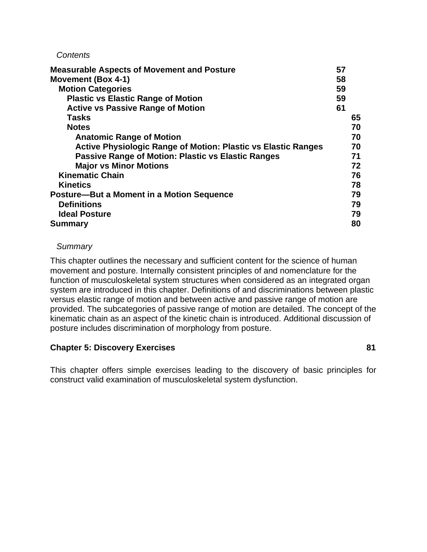#### *Contents*

| <b>Measurable Aspects of Movement and Posture</b>                    | 57 |    |
|----------------------------------------------------------------------|----|----|
| <b>Movement (Box 4-1)</b>                                            | 58 |    |
| <b>Motion Categories</b>                                             | 59 |    |
| <b>Plastic vs Elastic Range of Motion</b>                            | 59 |    |
| <b>Active vs Passive Range of Motion</b>                             | 61 |    |
| Tasks                                                                |    | 65 |
| <b>Notes</b>                                                         |    | 70 |
| <b>Anatomic Range of Motion</b>                                      |    | 70 |
| <b>Active Physiologic Range of Motion: Plastic vs Elastic Ranges</b> |    | 70 |
| <b>Passive Range of Motion: Plastic vs Elastic Ranges</b>            |    | 71 |
| <b>Major vs Minor Motions</b>                                        |    | 72 |
| <b>Kinematic Chain</b>                                               |    | 76 |
| <b>Kinetics</b>                                                      |    | 78 |
| Posture-But a Moment in a Motion Sequence                            |    | 79 |
| <b>Definitions</b>                                                   |    | 79 |
| <b>Ideal Posture</b>                                                 |    | 79 |
| <b>Summary</b>                                                       |    | 80 |

### *Summary*

This chapter outlines the necessary and sufficient content for the science of human movement and posture. Internally consistent principles of and nomenclature for the function of musculoskeletal system structures when considered as an integrated organ system are introduced in this chapter. Definitions of and discriminations between plastic versus elastic range of motion and between active and passive range of motion are provided. The subcategories of passive range of motion are detailed. The concept of the kinematic chain as an aspect of the kinetic chain is introduced. Additional discussion of posture includes discrimination of morphology from posture.

# **Chapter 5: Discovery Exercises 81**

This chapter offers simple exercises leading to the discovery of basic principles for construct valid examination of musculoskeletal system dysfunction.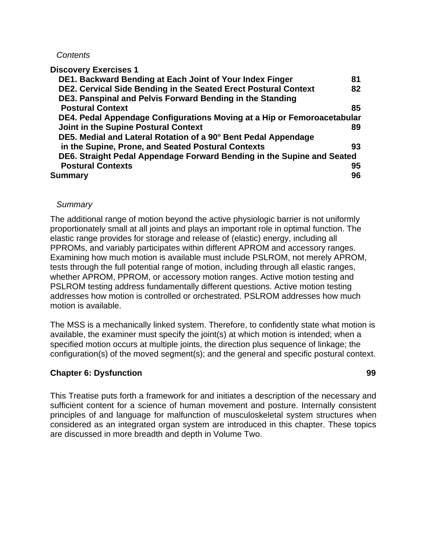#### *Contents*

**Discovery Exercises 1** 

| DE1. Backward Bending at Each Joint of Your Index Finger                | 81 |
|-------------------------------------------------------------------------|----|
| DE2. Cervical Side Bending in the Seated Erect Postural Context         | 82 |
| DE3. Panspinal and Pelvis Forward Bending in the Standing               |    |
| <b>Postural Context</b>                                                 | 85 |
| DE4. Pedal Appendage Configurations Moving at a Hip or Femoroacetabular |    |
| Joint in the Supine Postural Context                                    | 89 |
| DE5. Medial and Lateral Rotation of a 90° Bent Pedal Appendage          |    |
| in the Supine, Prone, and Seated Postural Contexts                      | 93 |
| DE6. Straight Pedal Appendage Forward Bending in the Supine and Seated  |    |
| <b>Postural Contexts</b>                                                | 95 |
| Summary                                                                 | 96 |

### *Summary*

The additional range of motion beyond the active physiologic barrier is not uniformly proportionately small at all joints and plays an important role in optimal function. The elastic range provides for storage and release of (elastic) energy, including all PPROMs, and variably participates within different APROM and accessory ranges. Examining how much motion is available must include PSLROM, not merely APROM, tests through the full potential range of motion, including through all elastic ranges, whether APROM, PPROM, or accessory motion ranges. Active motion testing and PSLROM testing address fundamentally different questions. Active motion testing addresses how motion is controlled or orchestrated. PSLROM addresses how much motion is available.

The MSS is a mechanically linked system. Therefore, to confidently state what motion is available, the examiner must specify the joint(s) at which motion is intended; when a specified motion occurs at multiple joints, the direction plus sequence of linkage; the configuration(s) of the moved segment(s); and the general and specific postural context.

# **Chapter 6: Dysfunction 99**

This Treatise puts forth a framework for and initiates a description of the necessary and sufficient content for a science of human movement and posture. Internally consistent principles of and language for malfunction of musculoskeletal system structures when considered as an integrated organ system are introduced in this chapter. These topics are discussed in more breadth and depth in Volume Two.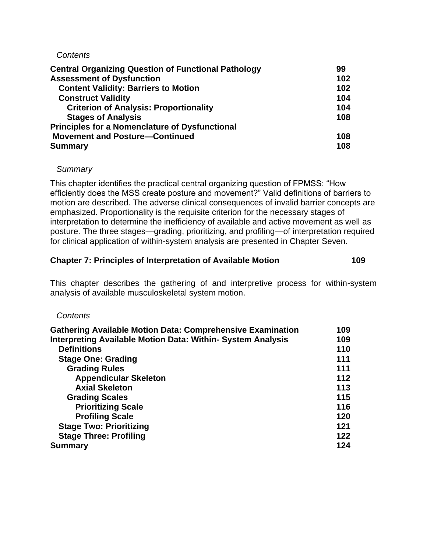### *Contents*

| <b>Central Organizing Question of Functional Pathology</b> | 99  |
|------------------------------------------------------------|-----|
| <b>Assessment of Dysfunction</b>                           | 102 |
| <b>Content Validity: Barriers to Motion</b>                | 102 |
| <b>Construct Validity</b>                                  | 104 |
| <b>Criterion of Analysis: Proportionality</b>              | 104 |
| <b>Stages of Analysis</b>                                  | 108 |
| <b>Principles for a Nomenclature of Dysfunctional</b>      |     |
| <b>Movement and Posture-Continued</b>                      | 108 |
| <b>Summary</b>                                             | 108 |

# *Summary*

This chapter identifies the practical central organizing question of FPMSS: "How efficiently does the MSS create posture and movement?" Valid definitions of barriers to motion are described. The adverse clinical consequences of invalid barrier concepts are emphasized. Proportionality is the requisite criterion for the necessary stages of interpretation to determine the inefficiency of available and active movement as well as posture. The three stages—grading, prioritizing, and profiling—of interpretation required for clinical application of within-system analysis are presented in Chapter Seven.

# **Chapter 7: Principles of Interpretation of Available Motion 109**

This chapter describes the gathering of and interpretive process for within-system analysis of available musculoskeletal system motion.

# *Contents*

| <b>Gathering Available Motion Data: Comprehensive Examination</b>  | 109 |
|--------------------------------------------------------------------|-----|
| <b>Interpreting Available Motion Data: Within- System Analysis</b> | 109 |
| <b>Definitions</b>                                                 | 110 |
| <b>Stage One: Grading</b>                                          | 111 |
| <b>Grading Rules</b>                                               | 111 |
| <b>Appendicular Skeleton</b>                                       | 112 |
| <b>Axial Skeleton</b>                                              | 113 |
| <b>Grading Scales</b>                                              | 115 |
| <b>Prioritizing Scale</b>                                          | 116 |
| <b>Profiling Scale</b>                                             | 120 |
| <b>Stage Two: Prioritizing</b>                                     | 121 |
| <b>Stage Three: Profiling</b>                                      | 122 |
| <b>Summary</b>                                                     | 124 |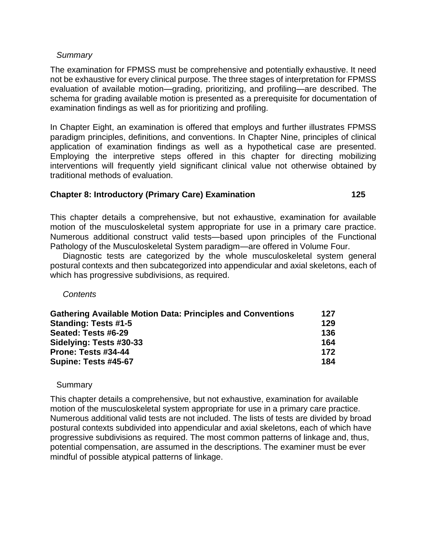### *Summary*

The examination for FPMSS must be comprehensive and potentially exhaustive. It need not be exhaustive for every clinical purpose. The three stages of interpretation for FPMSS evaluation of available motion—grading, prioritizing, and profiling—are described. The schema for grading available motion is presented as a prerequisite for documentation of examination findings as well as for prioritizing and profiling.

In Chapter Eight, an examination is offered that employs and further illustrates FPMSS paradigm principles, definitions, and conventions. In Chapter Nine, principles of clinical application of examination findings as well as a hypothetical case are presented. Employing the interpretive steps offered in this chapter for directing mobilizing interventions will frequently yield significant clinical value not otherwise obtained by traditional methods of evaluation.

# **Chapter 8: Introductory (Primary Care) Examination 125**

This chapter details a comprehensive, but not exhaustive, examination for available motion of the musculoskeletal system appropriate for use in a primary care practice. Numerous additional construct valid tests—based upon principles of the Functional Pathology of the Musculoskeletal System paradigm—are offered in Volume Four.

Diagnostic tests are categorized by the whole musculoskeletal system general postural contexts and then subcategorized into appendicular and axial skeletons, each of which has progressive subdivisions, as required.

# *Contents*

| <b>Gathering Available Motion Data: Principles and Conventions</b> | 127 |
|--------------------------------------------------------------------|-----|
| Standing: Tests #1-5                                               | 129 |
| Seated: Tests #6-29                                                | 136 |
| Sidelying: Tests #30-33                                            | 164 |
| Prone: Tests #34-44                                                | 172 |
| Supine: Tests #45-67                                               | 184 |

**Summary** 

This chapter details a comprehensive, but not exhaustive, examination for available motion of the musculoskeletal system appropriate for use in a primary care practice. Numerous additional valid tests are not included. The lists of tests are divided by broad postural contexts subdivided into appendicular and axial skeletons, each of which have progressive subdivisions as required. The most common patterns of linkage and, thus, potential compensation, are assumed in the descriptions. The examiner must be ever mindful of possible atypical patterns of linkage.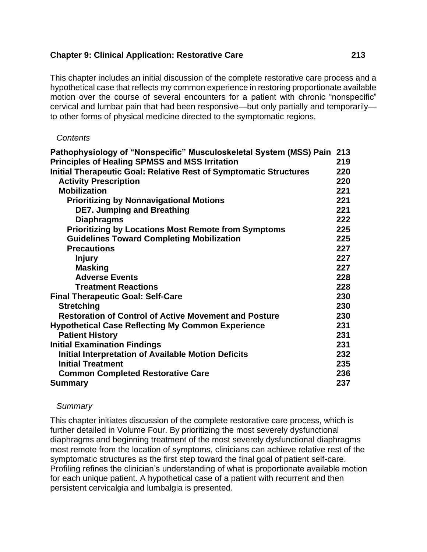# **Chapter 9: Clinical Application: Restorative Care 213**

This chapter includes an initial discussion of the complete restorative care process and a hypothetical case that reflects my common experience in restoring proportionate available motion over the course of several encounters for a patient with chronic "nonspecific" cervical and lumbar pain that had been responsive—but only partially and temporarily to other forms of physical medicine directed to the symptomatic regions.

# *Contents*

| Pathophysiology of "Nonspecific" Musculoskeletal System (MSS) Pain       | 213 |
|--------------------------------------------------------------------------|-----|
| <b>Principles of Healing SPMSS and MSS Irritation</b>                    | 219 |
| <b>Initial Therapeutic Goal: Relative Rest of Symptomatic Structures</b> | 220 |
| <b>Activity Prescription</b>                                             | 220 |
| <b>Mobilization</b>                                                      | 221 |
| <b>Prioritizing by Nonnavigational Motions</b>                           | 221 |
| <b>DE7. Jumping and Breathing</b>                                        | 221 |
| <b>Diaphragms</b>                                                        | 222 |
| <b>Prioritizing by Locations Most Remote from Symptoms</b>               | 225 |
| <b>Guidelines Toward Completing Mobilization</b>                         | 225 |
| <b>Precautions</b>                                                       | 227 |
| <b>Injury</b>                                                            | 227 |
| <b>Masking</b>                                                           | 227 |
| <b>Adverse Events</b>                                                    | 228 |
| <b>Treatment Reactions</b>                                               | 228 |
| <b>Final Therapeutic Goal: Self-Care</b>                                 | 230 |
| <b>Stretching</b>                                                        | 230 |
| <b>Restoration of Control of Active Movement and Posture</b>             | 230 |
| <b>Hypothetical Case Reflecting My Common Experience</b>                 | 231 |
| <b>Patient History</b>                                                   | 231 |
| <b>Initial Examination Findings</b>                                      | 231 |
| <b>Initial Interpretation of Available Motion Deficits</b>               | 232 |
| <b>Initial Treatment</b>                                                 | 235 |
| <b>Common Completed Restorative Care</b>                                 | 236 |
| <b>Summary</b>                                                           | 237 |

# *Summary*

This chapter initiates discussion of the complete restorative care process, which is further detailed in Volume Four. By prioritizing the most severely dysfunctional diaphragms and beginning treatment of the most severely dysfunctional diaphragms most remote from the location of symptoms, clinicians can achieve relative rest of the symptomatic structures as the first step toward the final goal of patient self-care. Profiling refines the clinician's understanding of what is proportionate available motion for each unique patient. A hypothetical case of a patient with recurrent and then persistent cervicalgia and lumbalgia is presented.